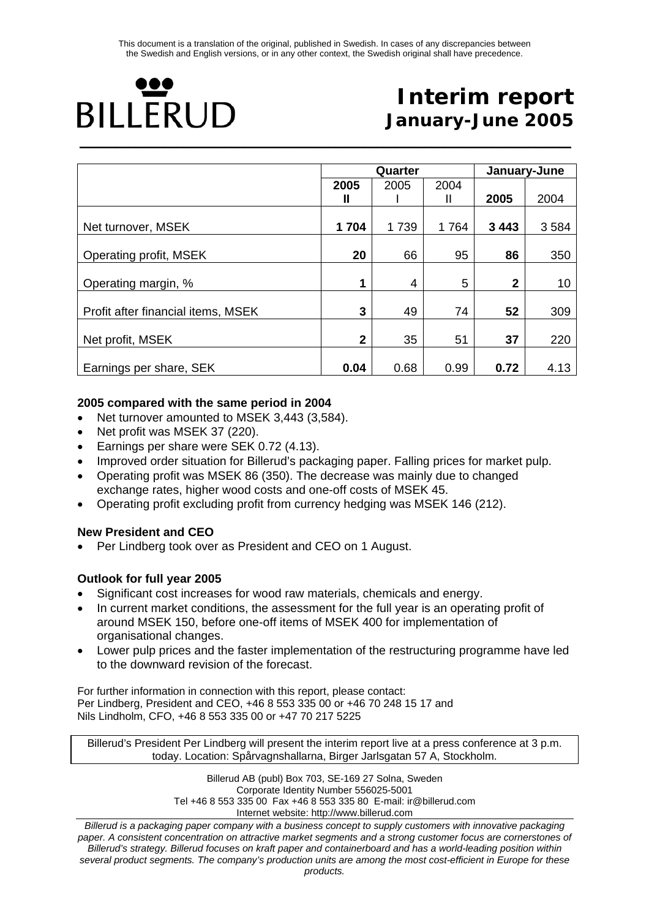# Ю **BILLERUD \_\_\_\_\_\_\_\_\_\_\_\_\_\_\_\_\_\_\_\_\_\_\_\_\_\_\_\_\_\_\_\_\_\_\_\_\_\_\_\_\_\_\_\_\_\_\_\_\_\_\_\_\_\_\_\_\_\_\_\_\_\_\_\_\_\_\_\_\_\_\_\_\_\_\_\_\_\_\_\_\_**

# **Interim report January-June 2005**

|                                    |              | Quarter |      | January-June |         |  |
|------------------------------------|--------------|---------|------|--------------|---------|--|
|                                    | 2005         | 2005    | 2004 |              |         |  |
|                                    | Ш            |         | Ш    | 2005         | 2004    |  |
|                                    |              |         |      |              |         |  |
| Net turnover, MSEK                 | 1704         | 1739    | 1764 | 3 4 4 3      | 3 5 8 4 |  |
|                                    |              |         |      |              |         |  |
| Operating profit, MSEK             | 20           | 66      | 95   | 86           | 350     |  |
|                                    |              |         |      |              |         |  |
| Operating margin, %                | 1            | 4       | 5    | $\mathbf 2$  | 10      |  |
|                                    |              |         |      |              |         |  |
| Profit after financial items, MSEK | 3            | 49      | 74   | 52           | 309     |  |
| Net profit, MSEK                   | $\mathbf{2}$ | 35      | 51   | 37           | 220     |  |
| Earnings per share, SEK            | 0.04         | 0.68    | 0.99 | 0.72         | 4.13    |  |

#### **2005 compared with the same period in 2004**

- Net turnover amounted to MSEK 3,443 (3,584).
- Net profit was MSEK 37 (220).
- Earnings per share were SEK 0.72 (4.13).
- Improved order situation for Billerud's packaging paper. Falling prices for market pulp.
- Operating profit was MSEK 86 (350). The decrease was mainly due to changed exchange rates, higher wood costs and one-off costs of MSEK 45.
- Operating profit excluding profit from currency hedging was MSEK 146 (212).

#### **New President and CEO**

• Per Lindberg took over as President and CEO on 1 August.

#### **Outlook for full year 2005**

- Significant cost increases for wood raw materials, chemicals and energy.
- In current market conditions, the assessment for the full year is an operating profit of around MSEK 150, before one-off items of MSEK 400 for implementation of organisational changes.
- Lower pulp prices and the faster implementation of the restructuring programme have led to the downward revision of the forecast.

For further information in connection with this report, please contact: Per Lindberg, President and CEO, +46 8 553 335 00 or +46 70 248 15 17 and Nils Lindholm, CFO, +46 8 553 335 00 or +47 70 217 5225

Billerud's President Per Lindberg will present the interim report live at a press conference at 3 p.m. today. Location: Spårvagnshallarna, Birger Jarlsgatan 57 A, Stockholm.

> Billerud AB (publ) Box 703, SE-169 27 Solna, Sweden Corporate Identity Number 556025-5001 Tel +46 8 553 335 00 Fax +46 8 553 335 80 E-mail: ir@billerud.com Internet website: http://www.billerud.com

*Billerud is a packaging paper company with a business concept to supply customers with innovative packaging paper. A consistent concentration on attractive market segments and a strong customer focus are cornerstones of Billerud's strategy. Billerud focuses on kraft paper and containerboard and has a world-leading position within several product segments. The company's production units are among the most cost-efficient in Europe for these products.*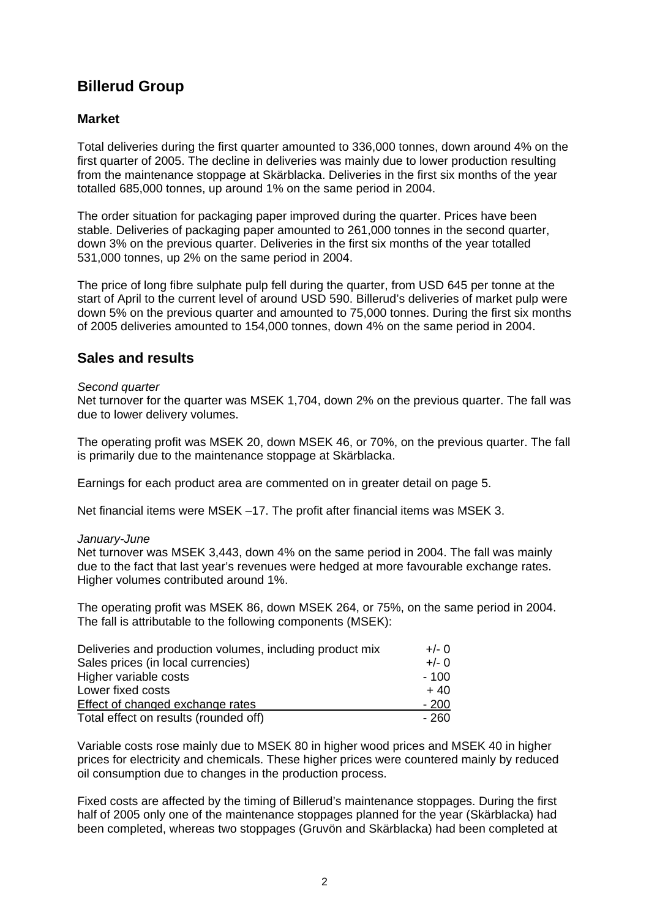### **Billerud Group**

#### **Market**

Total deliveries during the first quarter amounted to 336,000 tonnes, down around 4% on the first quarter of 2005. The decline in deliveries was mainly due to lower production resulting from the maintenance stoppage at Skärblacka. Deliveries in the first six months of the year totalled 685,000 tonnes, up around 1% on the same period in 2004.

The order situation for packaging paper improved during the quarter. Prices have been stable. Deliveries of packaging paper amounted to 261,000 tonnes in the second quarter, down 3% on the previous quarter. Deliveries in the first six months of the year totalled 531,000 tonnes, up 2% on the same period in 2004.

The price of long fibre sulphate pulp fell during the quarter, from USD 645 per tonne at the start of April to the current level of around USD 590. Billerud's deliveries of market pulp were down 5% on the previous quarter and amounted to 75,000 tonnes. During the first six months of 2005 deliveries amounted to 154,000 tonnes, down 4% on the same period in 2004.

### **Sales and results**

#### *Second quarter*

Net turnover for the quarter was MSEK 1,704, down 2% on the previous quarter. The fall was due to lower delivery volumes.

The operating profit was MSEK 20, down MSEK 46, or 70%, on the previous quarter. The fall is primarily due to the maintenance stoppage at Skärblacka.

Earnings for each product area are commented on in greater detail on page 5.

Net financial items were MSEK –17. The profit after financial items was MSEK 3.

#### *January-June*

Net turnover was MSEK 3,443, down 4% on the same period in 2004. The fall was mainly due to the fact that last year's revenues were hedged at more favourable exchange rates. Higher volumes contributed around 1%.

The operating profit was MSEK 86, down MSEK 264, or 75%, on the same period in 2004. The fall is attributable to the following components (MSEK):

| Deliveries and production volumes, including product mix | $+/- 0$ |
|----------------------------------------------------------|---------|
| Sales prices (in local currencies)                       | $+/- 0$ |
| Higher variable costs                                    | $-100$  |
| Lower fixed costs                                        | $+40$   |
| Effect of changed exchange rates                         | $-200$  |
| Total effect on results (rounded off)                    | - 260   |

Variable costs rose mainly due to MSEK 80 in higher wood prices and MSEK 40 in higher prices for electricity and chemicals. These higher prices were countered mainly by reduced oil consumption due to changes in the production process.

Fixed costs are affected by the timing of Billerud's maintenance stoppages. During the first half of 2005 only one of the maintenance stoppages planned for the year (Skärblacka) had been completed, whereas two stoppages (Gruvön and Skärblacka) had been completed at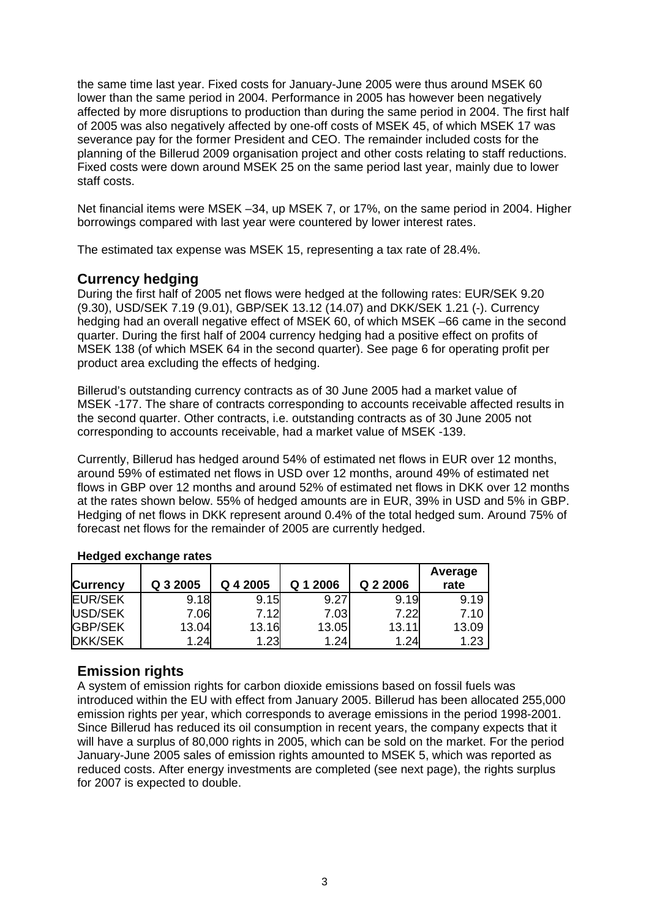the same time last year. Fixed costs for January-June 2005 were thus around MSEK 60 lower than the same period in 2004. Performance in 2005 has however been negatively affected by more disruptions to production than during the same period in 2004. The first half of 2005 was also negatively affected by one-off costs of MSEK 45, of which MSEK 17 was severance pay for the former President and CEO. The remainder included costs for the planning of the Billerud 2009 organisation project and other costs relating to staff reductions. Fixed costs were down around MSEK 25 on the same period last year, mainly due to lower staff costs.

Net financial items were MSEK –34, up MSEK 7, or 17%, on the same period in 2004. Higher borrowings compared with last year were countered by lower interest rates.

The estimated tax expense was MSEK 15, representing a tax rate of 28.4%.

### **Currency hedging**

During the first half of 2005 net flows were hedged at the following rates: EUR/SEK 9.20 (9.30), USD/SEK 7.19 (9.01), GBP/SEK 13.12 (14.07) and DKK/SEK 1.21 (-). Currency hedging had an overall negative effect of MSEK 60, of which MSEK –66 came in the second quarter. During the first half of 2004 currency hedging had a positive effect on profits of MSEK 138 (of which MSEK 64 in the second quarter). See page 6 for operating profit per product area excluding the effects of hedging.

Billerud's outstanding currency contracts as of 30 June 2005 had a market value of MSEK -177. The share of contracts corresponding to accounts receivable affected results in the second quarter. Other contracts, i.e. outstanding contracts as of 30 June 2005 not corresponding to accounts receivable, had a market value of MSEK -139.

Currently, Billerud has hedged around 54% of estimated net flows in EUR over 12 months, around 59% of estimated net flows in USD over 12 months, around 49% of estimated net flows in GBP over 12 months and around 52% of estimated net flows in DKK over 12 months at the rates shown below. 55% of hedged amounts are in EUR, 39% in USD and 5% in GBP. Hedging of net flows in DKK represent around 0.4% of the total hedged sum. Around 75% of forecast net flows for the remainder of 2005 are currently hedged.

| <b>Currency</b> | Q 3 2005 | Q 4 2005 | Q 1 2006 | Q 2 2006 | Average<br>rate |
|-----------------|----------|----------|----------|----------|-----------------|
| <b>EUR/SEK</b>  | 9.18     | 9.15     | 9.27     | 9.19     | 9.19            |
| USD/SEK         | 7.06     | 7.12     | 7.03     | 7.22     | 7.10            |
| <b>GBP/SEK</b>  | 13.04    | 13.16    | 13.05    | 13.11    | 13.09           |
| <b>DKK/SEK</b>  | 1.24     | 1.23     | 1.24     | 1.24     | 1.23            |

#### **Hedged exchange rates**

### **Emission rights**

A system of emission rights for carbon dioxide emissions based on fossil fuels was introduced within the EU with effect from January 2005. Billerud has been allocated 255,000 emission rights per year, which corresponds to average emissions in the period 1998-2001. Since Billerud has reduced its oil consumption in recent years, the company expects that it will have a surplus of 80,000 rights in 2005, which can be sold on the market. For the period January-June 2005 sales of emission rights amounted to MSEK 5, which was reported as reduced costs. After energy investments are completed (see next page), the rights surplus for 2007 is expected to double.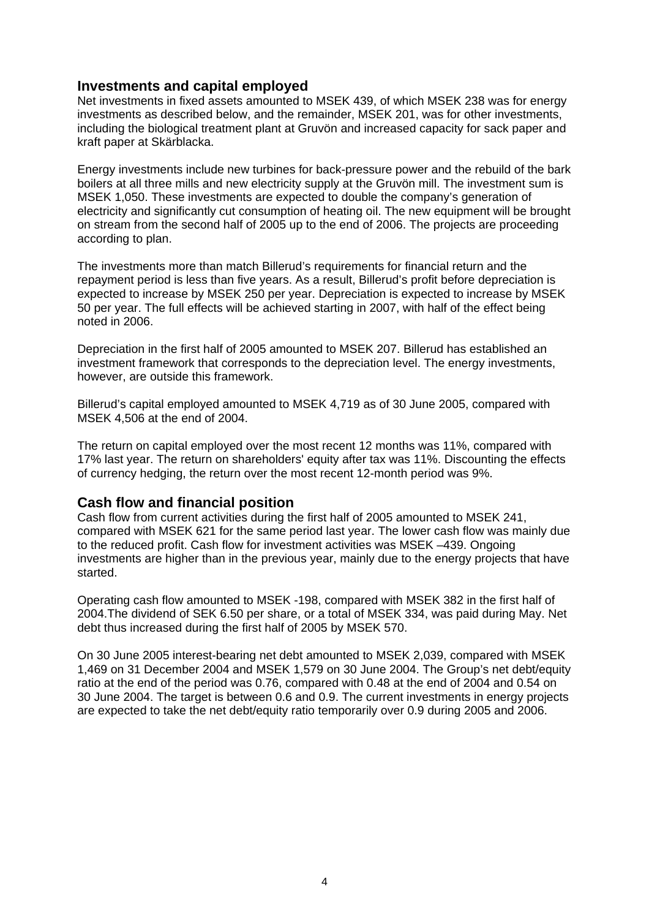#### **Investments and capital employed**

Net investments in fixed assets amounted to MSEK 439, of which MSEK 238 was for energy investments as described below, and the remainder, MSEK 201, was for other investments, including the biological treatment plant at Gruvön and increased capacity for sack paper and kraft paper at Skärblacka.

Energy investments include new turbines for back-pressure power and the rebuild of the bark boilers at all three mills and new electricity supply at the Gruvön mill. The investment sum is MSEK 1,050. These investments are expected to double the company's generation of electricity and significantly cut consumption of heating oil. The new equipment will be brought on stream from the second half of 2005 up to the end of 2006. The projects are proceeding according to plan.

The investments more than match Billerud's requirements for financial return and the repayment period is less than five years. As a result, Billerud's profit before depreciation is expected to increase by MSEK 250 per year. Depreciation is expected to increase by MSEK 50 per year. The full effects will be achieved starting in 2007, with half of the effect being noted in 2006.

Depreciation in the first half of 2005 amounted to MSEK 207. Billerud has established an investment framework that corresponds to the depreciation level. The energy investments, however, are outside this framework.

Billerud's capital employed amounted to MSEK 4,719 as of 30 June 2005, compared with MSEK 4,506 at the end of 2004.

The return on capital employed over the most recent 12 months was 11%, compared with 17% last year. The return on shareholders' equity after tax was 11%. Discounting the effects of currency hedging, the return over the most recent 12-month period was 9%.

#### **Cash flow and financial position**

Cash flow from current activities during the first half of 2005 amounted to MSEK 241, compared with MSEK 621 for the same period last year. The lower cash flow was mainly due to the reduced profit. Cash flow for investment activities was MSEK –439. Ongoing investments are higher than in the previous year, mainly due to the energy projects that have started.

Operating cash flow amounted to MSEK -198, compared with MSEK 382 in the first half of 2004.The dividend of SEK 6.50 per share, or a total of MSEK 334, was paid during May. Net debt thus increased during the first half of 2005 by MSEK 570.

On 30 June 2005 interest-bearing net debt amounted to MSEK 2,039, compared with MSEK 1,469 on 31 December 2004 and MSEK 1,579 on 30 June 2004. The Group's net debt/equity ratio at the end of the period was 0.76, compared with 0.48 at the end of 2004 and 0.54 on 30 June 2004. The target is between 0.6 and 0.9. The current investments in energy projects are expected to take the net debt/equity ratio temporarily over 0.9 during 2005 and 2006.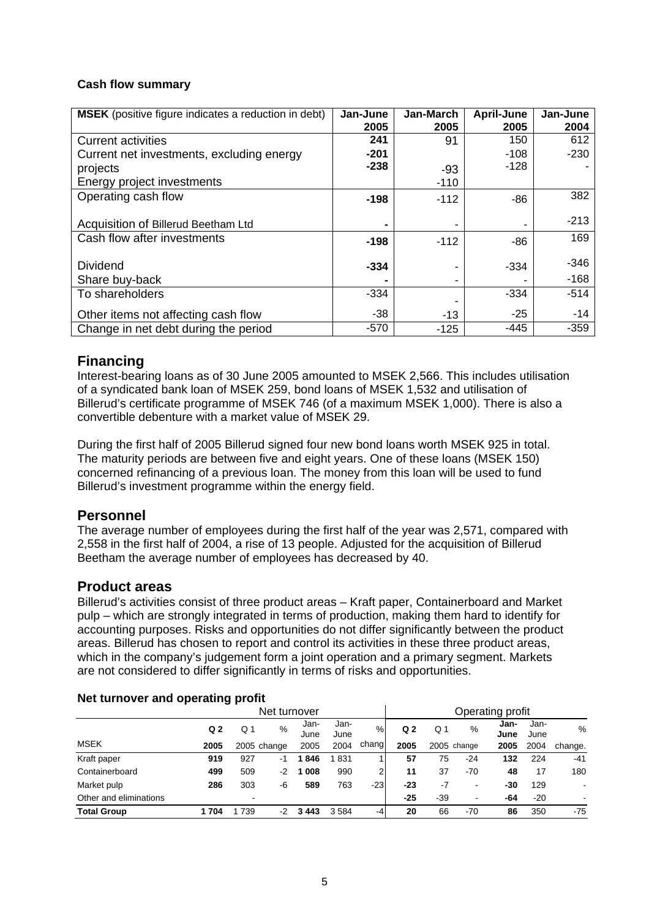#### **Cash flow summary**

| <b>MSEK</b> (positive figure indicates a reduction in debt) | Jan-June<br>2005 | Jan-March<br>2005 | April-June<br>2005 | Jan-June<br>2004 |
|-------------------------------------------------------------|------------------|-------------------|--------------------|------------------|
| <b>Current activities</b>                                   | 241              | 91                | 150                | 612              |
| Current net investments, excluding energy                   | $-201$           |                   | $-108$             | $-230$           |
| projects                                                    | $-238$           | $-93$             | $-128$             |                  |
| Energy project investments                                  |                  | $-110$            |                    |                  |
| Operating cash flow                                         | $-198$           | $-112$            | -86                | 382              |
| Acquisition of Billerud Beetham Ltd                         |                  |                   |                    | $-213$           |
| Cash flow after investments                                 | $-198$           | $-112$            | $-86$              | 169              |
| <b>Dividend</b>                                             | $-334$           |                   | $-334$             | $-346$           |
| Share buy-back                                              |                  |                   |                    | $-168$           |
| To shareholders                                             | $-334$           |                   | $-334$             | $-514$           |
| Other items not affecting cash flow                         | $-38$            | $-13$             | $-25$              | $-14$            |
| Change in net debt during the period                        | $-570$           | $-125$            | $-445$             | $-359$           |

### **Financing**

Interest-bearing loans as of 30 June 2005 amounted to MSEK 2,566. This includes utilisation of a syndicated bank loan of MSEK 259, bond loans of MSEK 1,532 and utilisation of Billerud's certificate programme of MSEK 746 (of a maximum MSEK 1,000). There is also a convertible debenture with a market value of MSEK 29.

During the first half of 2005 Billerud signed four new bond loans worth MSEK 925 in total. The maturity periods are between five and eight years. One of these loans (MSEK 150) concerned refinancing of a previous loan. The money from this loan will be used to fund Billerud's investment programme within the energy field.

#### **Personnel**

The average number of employees during the first half of the year was 2,571, compared with 2,558 in the first half of 2004, a rise of 13 people. Adjusted for the acquisition of Billerud Beetham the average number of employees has decreased by 40.

#### **Product areas**

Billerud's activities consist of three product areas – Kraft paper, Containerboard and Market pulp – which are strongly integrated in terms of production, making them hard to identify for accounting purposes. Risks and opportunities do not differ significantly between the product areas. Billerud has chosen to report and control its activities in these three product areas, which in the company's judgement form a joint operation and a primary segment. Markets are not considered to differ significantly in terms of risks and opportunities.

|                        | $-1$ $-1$ $-1$ $-1$ $-1$ $-1$ $-1$ $-1$ |              |             |              |              |                  |                |       |                          |              |              |               |
|------------------------|-----------------------------------------|--------------|-------------|--------------|--------------|------------------|----------------|-------|--------------------------|--------------|--------------|---------------|
|                        |                                         | Net turnover |             |              |              | Operating profit |                |       |                          |              |              |               |
|                        | Q <sub>2</sub>                          | Q 1          | %           | Jan-<br>June | Jan-<br>June | %                | Q <sub>2</sub> | Q 1   | $\%$                     | Jan-<br>June | Jan-<br>June | $\frac{0}{6}$ |
| <b>MSEK</b>            | 2005                                    |              | 2005 change | 2005         | 2004         | chang            | 2005           |       | 2005 change              | 2005         | 2004         | change.       |
| Kraft paper            | 919                                     | 927          | -1          | 1846         | 831          |                  | 57             | 75    | -24                      | 132          | 224          | $-41$         |
| Containerboard         | 499                                     | 509          | $-2$        | 1 008        | 990          |                  | 11             | 37    | $-70$                    | 48           | 17           | 180           |
| Market pulp            | 286                                     | 303          | -6          | 589          | 763          | $-23$            | -23            | $-7$  | $\blacksquare$           | -30          | 129          |               |
| Other and eliminations |                                         |              |             |              |              |                  | $-25$          | $-39$ | $\overline{\phantom{0}}$ | -64          | $-20$        |               |
| <b>Total Group</b>     | 1 704                                   | 739          | -2          | 3443         | 3584         | -4               | 20             | 66    | $-70$                    | 86           | 350          | $-75$         |

#### **Net turnover and operating profit**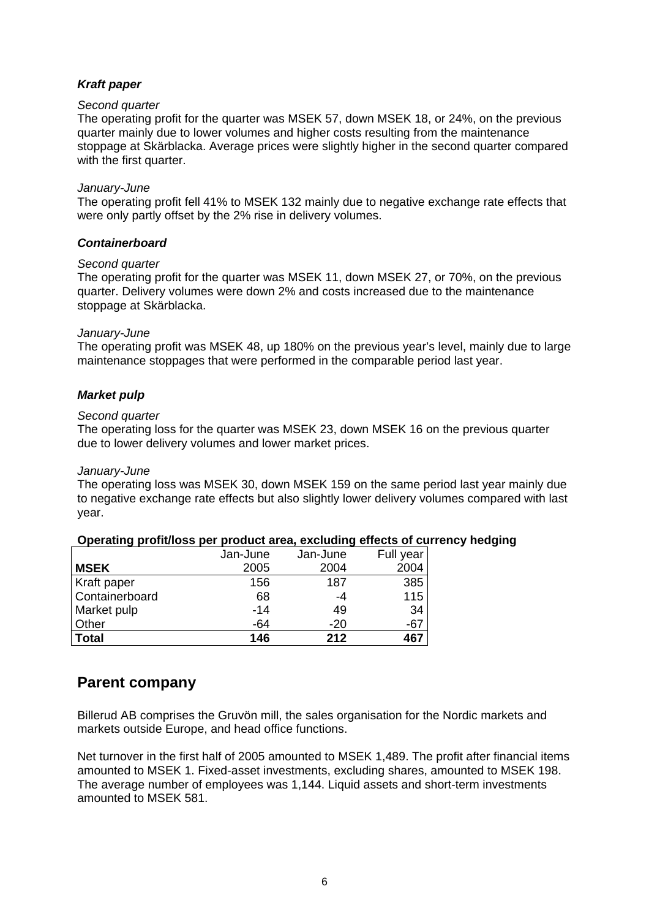#### *Kraft paper*

#### *Second quarter*

The operating profit for the quarter was MSEK 57, down MSEK 18, or 24%, on the previous quarter mainly due to lower volumes and higher costs resulting from the maintenance stoppage at Skärblacka. Average prices were slightly higher in the second quarter compared with the first quarter.

#### *January-June*

The operating profit fell 41% to MSEK 132 mainly due to negative exchange rate effects that were only partly offset by the 2% rise in delivery volumes.

#### *Containerboard*

#### *Second quarter*

The operating profit for the quarter was MSEK 11, down MSEK 27, or 70%, on the previous quarter. Delivery volumes were down 2% and costs increased due to the maintenance stoppage at Skärblacka.

#### *January-June*

The operating profit was MSEK 48, up 180% on the previous year's level, mainly due to large maintenance stoppages that were performed in the comparable period last year.

#### *Market pulp*

#### *Second quarter*

The operating loss for the quarter was MSEK 23, down MSEK 16 on the previous quarter due to lower delivery volumes and lower market prices.

#### *January-June*

The operating loss was MSEK 30, down MSEK 159 on the same period last year mainly due to negative exchange rate effects but also slightly lower delivery volumes compared with last year.

#### **Operating profit/loss per product area, excluding effects of currency hedging**

|                    | Jan-June | Jan-June | Full year |
|--------------------|----------|----------|-----------|
| <b>MSEK</b>        | 2005     | 2004     | 2004      |
| <b>Kraft paper</b> | 156      | 187      | 385       |
| Containerboard     | 68       | -4       | 115       |
| Market pulp        | $-14$    | 49       | 34        |
| <b>Other</b>       | -64      | $-20$    | $-67$     |
| Total              | 146      | 212      | 467       |

### **Parent company**

Billerud AB comprises the Gruvön mill, the sales organisation for the Nordic markets and markets outside Europe, and head office functions.

Net turnover in the first half of 2005 amounted to MSEK 1,489. The profit after financial items amounted to MSEK 1. Fixed-asset investments, excluding shares, amounted to MSEK 198. The average number of employees was 1,144. Liquid assets and short-term investments amounted to MSEK 581.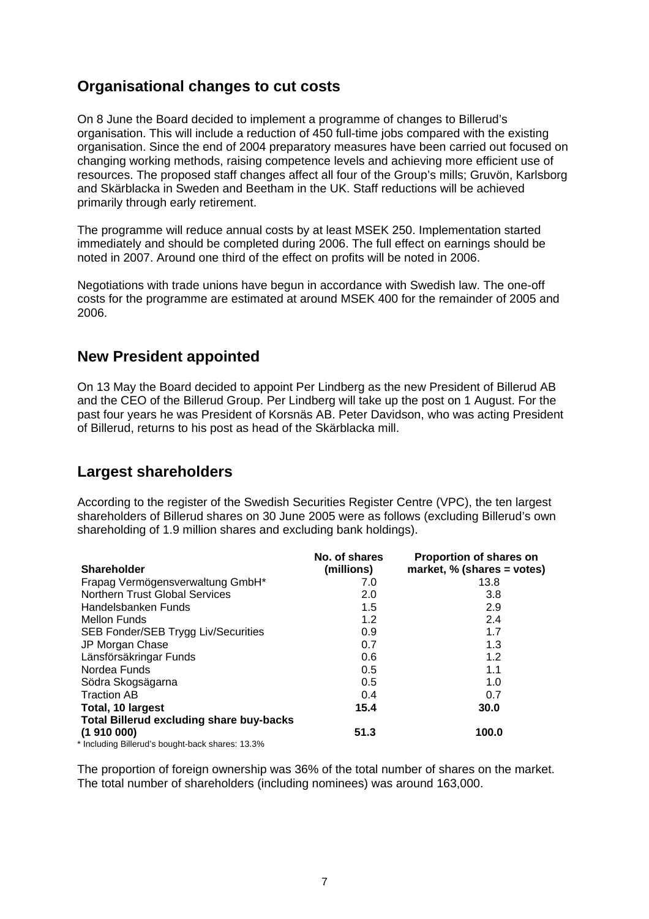### **Organisational changes to cut costs**

On 8 June the Board decided to implement a programme of changes to Billerud's organisation. This will include a reduction of 450 full-time jobs compared with the existing organisation. Since the end of 2004 preparatory measures have been carried out focused on changing working methods, raising competence levels and achieving more efficient use of resources. The proposed staff changes affect all four of the Group's mills; Gruvön, Karlsborg and Skärblacka in Sweden and Beetham in the UK. Staff reductions will be achieved primarily through early retirement.

The programme will reduce annual costs by at least MSEK 250. Implementation started immediately and should be completed during 2006. The full effect on earnings should be noted in 2007. Around one third of the effect on profits will be noted in 2006.

Negotiations with trade unions have begun in accordance with Swedish law. The one-off costs for the programme are estimated at around MSEK 400 for the remainder of 2005 and 2006.

### **New President appointed**

On 13 May the Board decided to appoint Per Lindberg as the new President of Billerud AB and the CEO of the Billerud Group. Per Lindberg will take up the post on 1 August. For the past four years he was President of Korsnäs AB. Peter Davidson, who was acting President of Billerud, returns to his post as head of the Skärblacka mill.

### **Largest shareholders**

According to the register of the Swedish Securities Register Centre (VPC), the ten largest shareholders of Billerud shares on 30 June 2005 were as follows (excluding Billerud's own shareholding of 1.9 million shares and excluding bank holdings).

|                                                  | No. of shares | Proportion of shares on       |
|--------------------------------------------------|---------------|-------------------------------|
| <b>Shareholder</b>                               | (millions)    | market, % (shares = $votes$ ) |
| Frapag Vermögensverwaltung GmbH*                 | 7.0           | 13.8                          |
| <b>Northern Trust Global Services</b>            | 2.0           | 3.8                           |
| Handelsbanken Funds                              | 1.5           | 2.9                           |
| <b>Mellon Funds</b>                              | 1.2           | 2.4                           |
| SEB Fonder/SEB Trygg Liv/Securities              | 0.9           | 1.7                           |
| JP Morgan Chase                                  | 0.7           | 1.3                           |
| Länsförsäkringar Funds                           | 0.6           | 1.2                           |
| Nordea Funds                                     | 0.5           | 1.1                           |
| Södra Skogsägarna                                | 0.5           | 1.0                           |
| <b>Traction AB</b>                               | 0.4           | 0.7                           |
| Total, 10 largest                                | 15.4          | 30.0                          |
| <b>Total Billerud excluding share buy-backs</b>  |               |                               |
| (1910000)                                        | 51.3          | 100.0                         |
| * Including Billerud's bought-back shares: 13.3% |               |                               |

The proportion of foreign ownership was 36% of the total number of shares on the market. The total number of shareholders (including nominees) was around 163,000.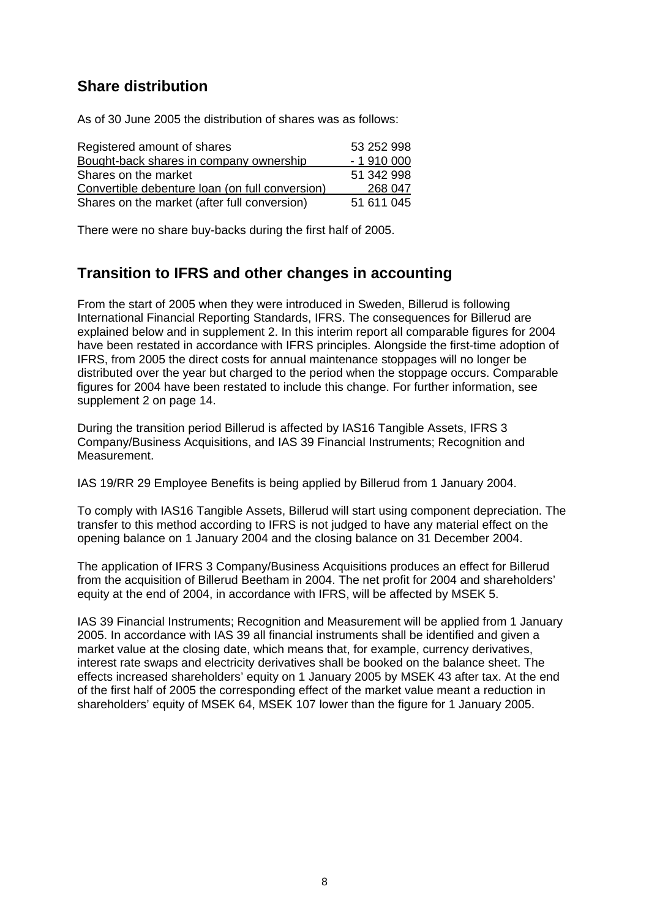### **Share distribution**

As of 30 June 2005 the distribution of shares was as follows:

| Registered amount of shares                     | 53 252 998 |
|-------------------------------------------------|------------|
| Bought-back shares in company ownership         | $-1910000$ |
| Shares on the market                            | 51 342 998 |
| Convertible debenture loan (on full conversion) | 268 047    |
| Shares on the market (after full conversion)    | 51 611 045 |

There were no share buy-backs during the first half of 2005.

### **Transition to IFRS and other changes in accounting**

From the start of 2005 when they were introduced in Sweden, Billerud is following International Financial Reporting Standards, IFRS. The consequences for Billerud are explained below and in supplement 2. In this interim report all comparable figures for 2004 have been restated in accordance with IFRS principles. Alongside the first-time adoption of IFRS, from 2005 the direct costs for annual maintenance stoppages will no longer be distributed over the year but charged to the period when the stoppage occurs. Comparable figures for 2004 have been restated to include this change. For further information, see supplement 2 on page 14.

During the transition period Billerud is affected by IAS16 Tangible Assets, IFRS 3 Company/Business Acquisitions, and IAS 39 Financial Instruments; Recognition and Measurement.

IAS 19/RR 29 Employee Benefits is being applied by Billerud from 1 January 2004.

To comply with IAS16 Tangible Assets, Billerud will start using component depreciation. The transfer to this method according to IFRS is not judged to have any material effect on the opening balance on 1 January 2004 and the closing balance on 31 December 2004.

The application of IFRS 3 Company/Business Acquisitions produces an effect for Billerud from the acquisition of Billerud Beetham in 2004. The net profit for 2004 and shareholders' equity at the end of 2004, in accordance with IFRS, will be affected by MSEK 5.

IAS 39 Financial Instruments; Recognition and Measurement will be applied from 1 January 2005. In accordance with IAS 39 all financial instruments shall be identified and given a market value at the closing date, which means that, for example, currency derivatives, interest rate swaps and electricity derivatives shall be booked on the balance sheet. The effects increased shareholders' equity on 1 January 2005 by MSEK 43 after tax. At the end of the first half of 2005 the corresponding effect of the market value meant a reduction in shareholders' equity of MSEK 64, MSEK 107 lower than the figure for 1 January 2005.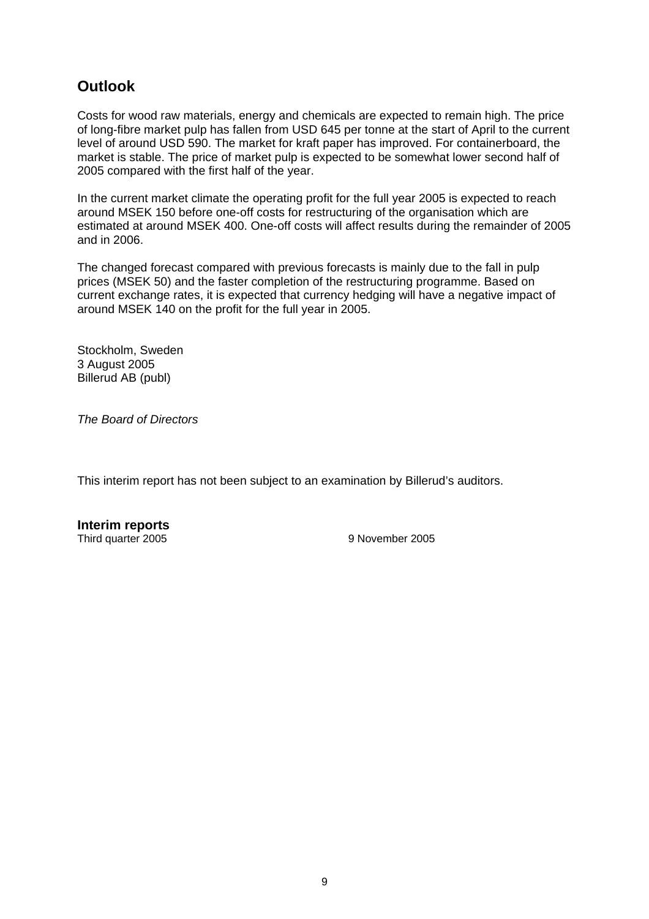### **Outlook**

Costs for wood raw materials, energy and chemicals are expected to remain high. The price of long-fibre market pulp has fallen from USD 645 per tonne at the start of April to the current level of around USD 590. The market for kraft paper has improved. For containerboard, the market is stable. The price of market pulp is expected to be somewhat lower second half of 2005 compared with the first half of the year.

In the current market climate the operating profit for the full year 2005 is expected to reach around MSEK 150 before one-off costs for restructuring of the organisation which are estimated at around MSEK 400. One-off costs will affect results during the remainder of 2005 and in 2006.

The changed forecast compared with previous forecasts is mainly due to the fall in pulp prices (MSEK 50) and the faster completion of the restructuring programme. Based on current exchange rates, it is expected that currency hedging will have a negative impact of around MSEK 140 on the profit for the full year in 2005.

Stockholm, Sweden 3 August 2005 Billerud AB (publ)

*The Board of Directors* 

This interim report has not been subject to an examination by Billerud's auditors.

**Interim reports**  Third quarter 2005 9 November 2005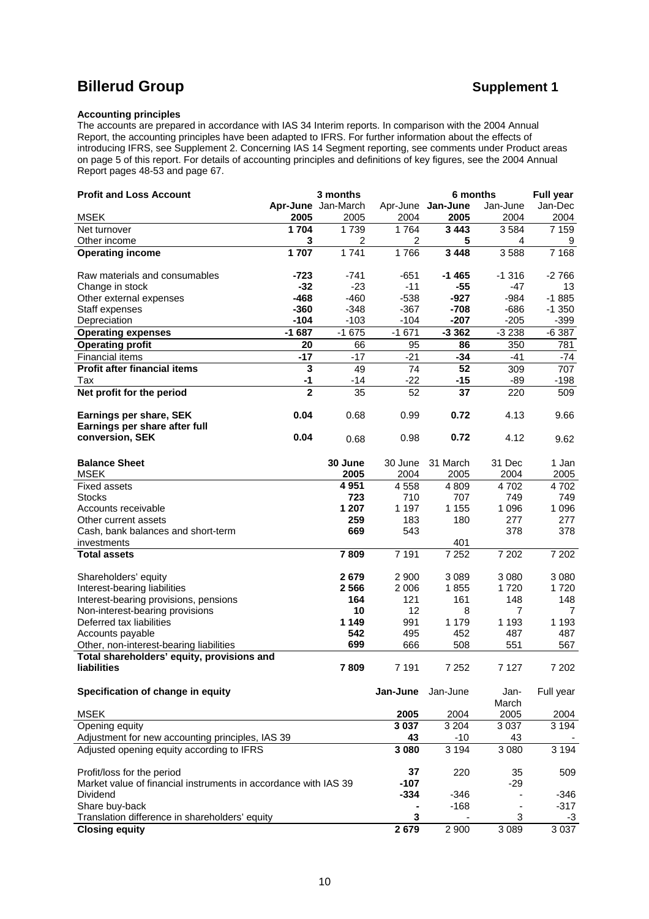## **Billerud Group Community Community Community Community Community Community Community Community Community Community**

#### **Accounting principles**

The accounts are prepared in accordance with IAS 34 Interim reports. In comparison with the 2004 Annual Report, the accounting principles have been adapted to IFRS. For further information about the effects of introducing IFRS, see Supplement 2. Concerning IAS 14 Segment reporting, see comments under Product areas on page 5 of this report. For details of accounting principles and definitions of key figures, see the 2004 Annual Report pages 48-53 and page 67.

| <b>Profit and Loss Account</b>                                  |                | 3 months           |                | 6 months          |                | <b>Full year</b> |
|-----------------------------------------------------------------|----------------|--------------------|----------------|-------------------|----------------|------------------|
|                                                                 |                | Apr-June Jan-March |                | Apr-June Jan-June | Jan-June       | Jan-Dec          |
| <b>MSEK</b>                                                     | 2005           | 2005               | 2004           | 2005              | 2004           | 2004             |
| Net turnover                                                    | 1 704          | 1739               | 1764           | 3 4 4 3           | 3584           | 7 1 5 9          |
| Other income                                                    | 3              | 2                  | $\overline{2}$ | 5                 | 4              | 9                |
| <b>Operating income</b>                                         | 1707           | 1741               | 1766           | 3 4 4 8           | 3588           | 7 1 6 8          |
| Raw materials and consumables                                   | -723           | -741               | $-651$         | -1 465            | $-1.316$       | $-2766$          |
| Change in stock                                                 | $-32$          | $-23$              | $-11$          | $-55$             | $-47$          | 13               |
| Other external expenses                                         | $-468$         | $-460$             | $-538$         | $-927$            | $-984$         | $-1885$          |
| Staff expenses                                                  | $-360$         | $-348$             | $-367$         | $-708$            | $-686$         | $-1350$          |
| Depreciation                                                    | $-104$         | $-103$             | $-104$         | $-207$            | $-205$         | -399             |
| <b>Operating expenses</b>                                       | $-1687$        | $-1675$            | $-1671$        | $-3362$           | $-3238$        | $-6387$          |
| <b>Operating profit</b>                                         | 20             | 66                 | 95             | 86                | 350            | 781              |
| <b>Financial items</b>                                          | $-17$          | $-17$              | $-21$          | $-34$             | $-41$          | $-74$            |
| <b>Profit after financial items</b>                             | $\mathbf{3}$   | 49                 | 74             | 52                | 309            | 707              |
| Tax                                                             | $-1$           | -14                | $-22$          | $-15$             | -89            | $-198$           |
| Net profit for the period                                       | $\overline{2}$ | 35                 | 52             | 37                | 220            | 509              |
| Earnings per share, SEK                                         | 0.04           | 0.68               | 0.99           | 0.72              | 4.13           | 9.66             |
| Earnings per share after full                                   |                |                    |                |                   |                |                  |
| conversion, SEK                                                 | 0.04           | 0.68               | 0.98           | 0.72              | 4.12           | 9.62             |
| <b>Balance Sheet</b>                                            |                | 30 June            | 30 June        | 31 March          | 31 Dec         | 1 Jan            |
| <b>MSEK</b>                                                     |                | 2005               | 2004           | 2005              | 2004           | 2005             |
| <b>Fixed assets</b>                                             |                | 4 9 51             | 4558           | 4 8 0 9           | 4702           | 4702             |
| <b>Stocks</b>                                                   |                | 723                | 710            | 707               | 749            | 749              |
| Accounts receivable                                             |                | 1 207              | 1 1 9 7        | 1 1 5 5           | 1 0 9 6        | 1 0 9 6          |
| Other current assets                                            |                | 259                | 183            | 180               | 277            | 277              |
| Cash, bank balances and short-term                              |                | 669                | 543            |                   | 378            | 378              |
| investments                                                     |                |                    |                | 401               |                |                  |
| <b>Total assets</b>                                             |                | 7809               | 7 1 9 1        | 7 2 5 2           | 7 202          | 7 202            |
| Shareholders' equity                                            |                | 2679               | 2 9 0 0        | 3 0 8 9           | 3 0 8 0        | 3 0 8 0          |
| Interest-bearing liabilities                                    |                | 2566               | 2 0 0 6        | 1855              | 1720           | 1720             |
| Interest-bearing provisions, pensions                           |                | 164                | 121            | 161               | 148            | 148              |
| Non-interest-bearing provisions                                 |                | 10                 | 12             | 8                 | $\overline{7}$ | 7                |
| Deferred tax liabilities                                        |                | 1 1 4 9            | 991            | 1 1 7 9           | 1 1 9 3        | 1 1 9 3          |
| Accounts payable                                                |                | 542                | 495            | 452               | 487            | 487              |
| Other, non-interest-bearing liabilities                         |                | 699                | 666            | 508               | 551            | 567              |
| Total shareholders' equity, provisions and                      |                |                    |                |                   |                |                  |
| <b>liabilities</b>                                              |                | 7809               | 7 1 9 1        | 7 2 5 2           | 7 1 2 7        | 7 202            |
| Specification of change in equity                               |                |                    | Jan-June       | Jan-June          | Jan-           | Full year        |
|                                                                 |                |                    |                |                   | March          |                  |
| <b>MSEK</b>                                                     |                |                    | 2005           | 2004              | 2005           | 2004             |
| Opening equity                                                  |                |                    | 3 0 3 7        | 3 2 0 4           | 3 0 3 7        | 3 1 9 4          |
| Adjustment for new accounting principles, IAS 39                |                |                    | 43             | $-10$             | 43             |                  |
| Adjusted opening equity according to IFRS                       |                |                    | 3080           | 3 1 9 4           | 3 0 8 0        | 3 1 9 4          |
| Profit/loss for the period                                      |                |                    | 37             | 220               | 35             | 509              |
| Market value of financial instruments in accordance with IAS 39 |                |                    | $-107$         |                   | $-29$          |                  |
| Dividend                                                        |                |                    | $-334$         | $-346$            |                | $-346$           |
| Share buy-back                                                  |                |                    |                | $-168$            |                | $-317$           |
| Translation difference in shareholders' equity                  |                |                    | 3              |                   | 3              | -3               |
| <b>Closing equity</b>                                           |                |                    | 2679           | 2 900             | 3 0 8 9        | 3 0 3 7          |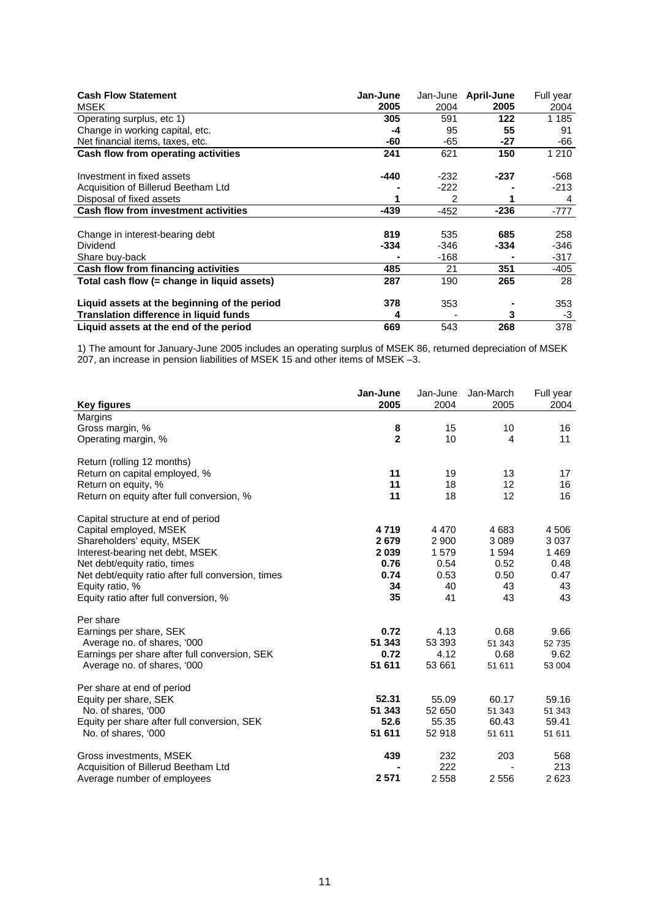| <b>Cash Flow Statement</b><br><b>MSEK</b>    | Jan-June<br>2005 | 2004   | Jan-June April-June<br>2005 | Full year<br>2004 |
|----------------------------------------------|------------------|--------|-----------------------------|-------------------|
| Operating surplus, etc 1)                    | 305              | 591    | 122                         | 1 1 8 5           |
| Change in working capital, etc.              | -4               | 95     | 55                          | 91                |
| Net financial items, taxes, etc.             | -60              | -65    | -27                         | -66               |
| Cash flow from operating activities          | 241              | 621    | 150                         | 1 2 1 0           |
| Investment in fixed assets                   | -440             | $-232$ | -237                        | -568              |
| Acquisition of Billerud Beetham Ltd          |                  | $-222$ |                             | $-213$            |
| Disposal of fixed assets                     |                  | 2      |                             | 4                 |
| <b>Cash flow from investment activities</b>  | -439             | $-452$ | $-236$                      | -777              |
|                                              |                  |        |                             |                   |
| Change in interest-bearing debt              | 819              | 535    | 685                         | 258               |
| Dividend                                     | -334             | -346   | -334                        | -346              |
| Share buy-back                               |                  | -168   |                             | -317              |
| Cash flow from financing activities          | 485              | 21     | 351                         | $-405$            |
| Total cash flow (= change in liguid assets)  | 287              | 190    | 265                         | 28                |
| Liquid assets at the beginning of the period | 378              | 353    |                             | 353               |
| Translation difference in liquid funds       | 4                |        | 3                           | -3                |
| Liquid assets at the end of the period       | 669              | 543    | 268                         | 378               |

1) The amount for January-June 2005 includes an operating surplus of MSEK 86, returned depreciation of MSEK 207, an increase in pension liabilities of MSEK 15 and other items of MSEK –3.

|                                                    | Jan-June       | Jan-June | Jan-March      | Full year |
|----------------------------------------------------|----------------|----------|----------------|-----------|
| <b>Key figures</b>                                 | 2005           | 2004     | 2005           | 2004      |
| Margins                                            |                |          |                |           |
| Gross margin, %                                    | 8              | 15       | 10             | 16        |
| Operating margin, %                                | $\overline{2}$ | 10       | $\overline{4}$ | 11        |
| Return (rolling 12 months)                         |                |          |                |           |
| Return on capital employed, %                      | 11             | 19       | 13             | 17        |
| Return on equity, %                                | 11             | 18       | 12             | 16        |
| Return on equity after full conversion, %          | 11             | 18       | 12             | 16        |
| Capital structure at end of period                 |                |          |                |           |
| Capital employed, MSEK                             | 4719           | 4 4 7 0  | 4683           | 4 5 0 6   |
| Shareholders' equity, MSEK                         | 2679           | 2 9 0 0  | 3 0 8 9        | 3 0 3 7   |
| Interest-bearing net debt, MSEK                    | 2039           | 1579     | 1 5 9 4        | 1469      |
| Net debt/equity ratio, times                       | 0.76           | 0.54     | 0.52           | 0.48      |
| Net debt/equity ratio after full conversion, times | 0.74           | 0.53     | 0.50           | 0.47      |
| Equity ratio, %                                    | 34             | 40       | 43             | 43        |
| Equity ratio after full conversion, %              | 35             | 41       | 43             | 43        |
| Per share                                          |                |          |                |           |
| Earnings per share, SEK                            | 0.72           | 4.13     | 0.68           | 9.66      |
| Average no. of shares, '000                        | 51 343         | 53 393   | 51 343         | 52735     |
| Earnings per share after full conversion, SEK      | 0.72           | 4.12     | 0.68           | 9.62      |
| Average no. of shares, '000                        | 51 611         | 53 661   | 51 611         | 53 004    |
| Per share at end of period                         |                |          |                |           |
| Equity per share, SEK                              | 52.31          | 55.09    | 60.17          | 59.16     |
| No. of shares, '000                                | 51 343         | 52 650   | 51 343         | 51 343    |
| Equity per share after full conversion, SEK        | 52.6           | 55.35    | 60.43          | 59.41     |
| No. of shares, '000                                | 51 611         | 52 918   | 51 611         | 51 611    |
| Gross investments, MSEK                            | 439            | 232      | 203            | 568       |
| Acquisition of Billerud Beetham Ltd                |                | 222      |                | 213       |
| Average number of employees                        | 2 5 7 1        | 2 5 5 8  | 2 5 5 6        | 2623      |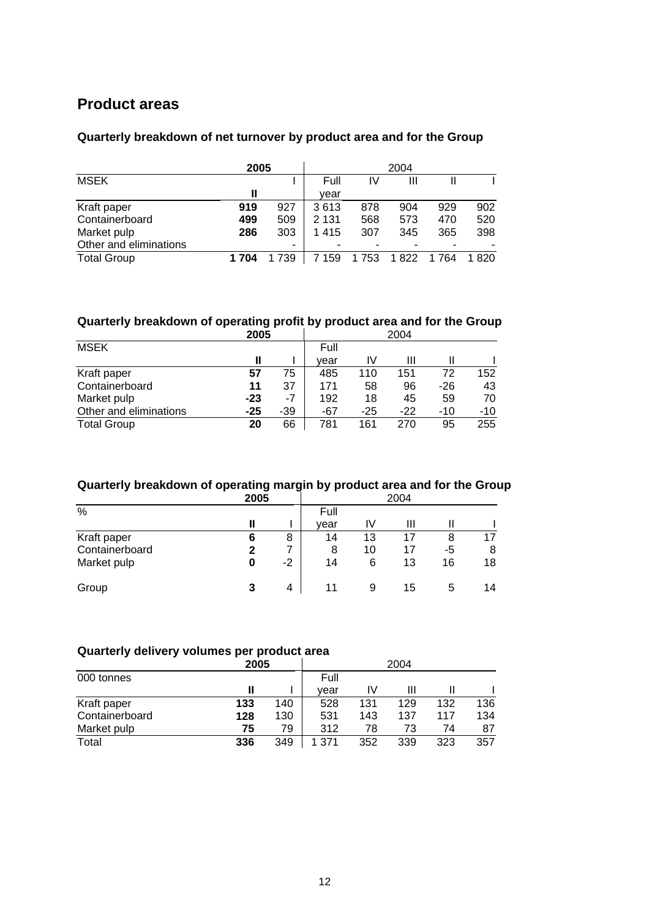### **Product areas**

#### **Quarterly breakdown of net turnover by product area and for the Group**

|                        | 2005  |     |         |     |       |         |      |
|------------------------|-------|-----|---------|-----|-------|---------|------|
| <b>MSEK</b>            |       |     | Full    | IV  | Ш     |         |      |
|                        |       |     | vear    |     |       |         |      |
| Kraft paper            | 919   | 927 | 3613    | 878 | 904   | 929     | 902  |
| Containerboard         | 499   | 509 | 2 1 3 1 | 568 | 573   | 470     | 520  |
| Market pulp            | 286   | 303 | 1415    | 307 | 345   | 365     | 398  |
| Other and eliminations |       | ٠   |         |     |       |         |      |
| <b>Total Group</b>     | 1 704 | 739 | 159     | 753 | 1 822 | 1 7 6 4 | 1820 |

#### **Quarterly breakdown of operating profit by product area and for the Group**

|                        | 2005  |     | 2004 |       |       |       |       |  |
|------------------------|-------|-----|------|-------|-------|-------|-------|--|
| <b>MSEK</b>            |       |     | Full |       |       |       |       |  |
|                        | Ш     |     | vear | IV    | Ш     |       |       |  |
| Kraft paper            | 57    | 75  | 485  | 110   | 151   | 72    | 152   |  |
| Containerboard         | 11    | 37  | 171  | 58    | 96    | -26   | 43    |  |
| Market pulp            | $-23$ | -7  | 192  | 18    | 45    | 59    | 70    |  |
| Other and eliminations | $-25$ | -39 | -67  | $-25$ | $-22$ | $-10$ | $-10$ |  |
| <b>Total Group</b>     | 20    | 66  | 781  | 161   | 270   | 95    | 255   |  |

#### **Quarterly breakdown of operating margin by product area and for the Group**

|                | 2005 | 2004 |      |    |    |              |    |
|----------------|------|------|------|----|----|--------------|----|
| $\%$           |      |      | Full |    |    |              |    |
|                |      |      | vear | I٧ | Ш  |              |    |
| Kraft paper    | 6    | 8    | 14   | 13 | 17 | 8            |    |
| Containerboard |      |      | 8    | 10 | 17 | -5           | 8  |
| Market pulp    | 0    | $-2$ | 14   | 6  | 13 | 16           | 18 |
| Group          | 3    | 4    | 11   | 9  | 15 | <sub>5</sub> | 14 |

#### **Quarterly delivery volumes per product area**

|                |     | 2005 |      | 2004 |     |     |     |  |  |
|----------------|-----|------|------|------|-----|-----|-----|--|--|
| 000 tonnes     |     |      | Full |      |     |     |     |  |  |
|                |     |      | vear | IV   | Ш   |     |     |  |  |
| Kraft paper    | 133 | 140  | 528  | 131  | 129 | 132 | 136 |  |  |
| Containerboard | 128 | 130  | 531  | 143  | 137 | 117 | 134 |  |  |
| Market pulp    | 75  | 79   | 312  | 78   | 73  | 74  | 87  |  |  |
| Total          | 336 | 349  | 371  | 352  | 339 | 323 | 357 |  |  |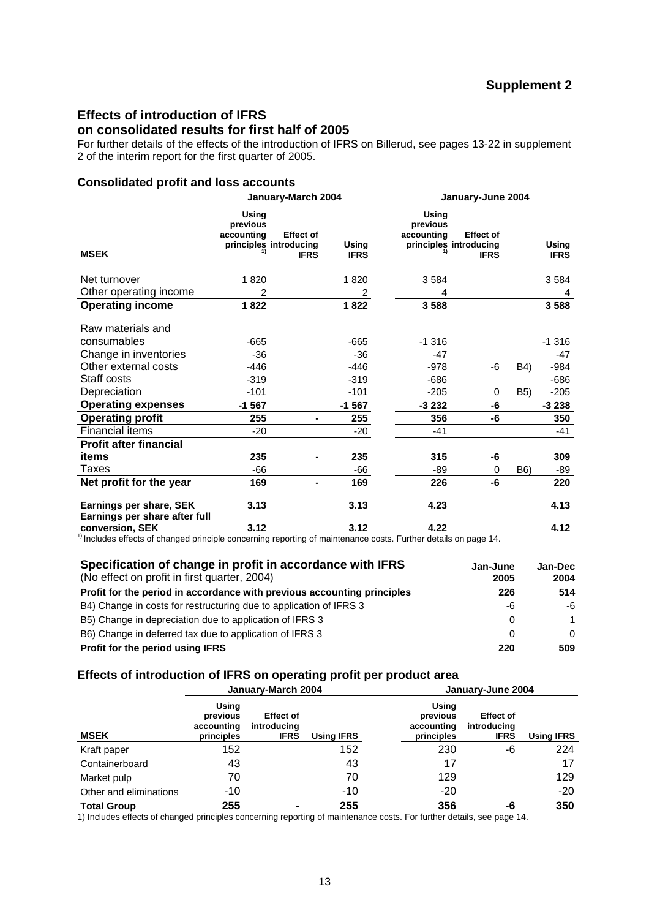### **Effects of introduction of IFRS**

#### **on consolidated results for first half of 2005**

For further details of the effects of the introduction of IFRS on Billerud, see pages 13-22 in supplement 2 of the interim report for the first quarter of 2005.

#### **Consolidated profit and loss accounts**

|                                                                                                                                        |                                                           | January-March 2004              |                      |                                 | January-June 2004                                         |                  |                      |
|----------------------------------------------------------------------------------------------------------------------------------------|-----------------------------------------------------------|---------------------------------|----------------------|---------------------------------|-----------------------------------------------------------|------------------|----------------------|
| <b>MSEK</b>                                                                                                                            | Using<br>previous<br>accounting<br>principles introducing | <b>Effect of</b><br><b>IFRS</b> | Using<br><b>IFRS</b> | Using<br>previous<br>accounting | <b>Effect of</b><br>principles introducing<br><b>IFRS</b> |                  | Using<br><b>IFRS</b> |
| Net turnover                                                                                                                           | 1820                                                      |                                 |                      |                                 |                                                           |                  |                      |
|                                                                                                                                        |                                                           |                                 | 1820                 | 3584                            |                                                           |                  | 3 5 8 4              |
| Other operating income                                                                                                                 | 2                                                         |                                 | 2                    | 4                               |                                                           |                  | 4                    |
| <b>Operating income</b>                                                                                                                | 1822                                                      |                                 | 1822                 | 3 5 8 8                         |                                                           |                  | 3588                 |
| Raw materials and                                                                                                                      |                                                           |                                 |                      |                                 |                                                           |                  |                      |
| consumables                                                                                                                            | $-665$                                                    |                                 | $-665$               | $-1.316$                        |                                                           |                  | $-1316$              |
| Change in inventories                                                                                                                  | $-36$                                                     |                                 | $-36$                | $-47$                           |                                                           |                  | -47                  |
| Other external costs                                                                                                                   | $-446$                                                    |                                 | $-446$               | $-978$                          | -6                                                        | B4)              | $-984$               |
| Staff costs                                                                                                                            | $-319$                                                    |                                 | $-319$               | $-686$                          |                                                           |                  | $-686$               |
| Depreciation                                                                                                                           | $-101$                                                    |                                 | $-101$               | $-205$                          | 0                                                         | <b>B5)</b>       | $-205$               |
| <b>Operating expenses</b>                                                                                                              | $-1567$                                                   |                                 | $-1567$              | $-3232$                         | -6                                                        |                  | $-3238$              |
|                                                                                                                                        | 255                                                       |                                 |                      | 356                             | -6                                                        |                  | 350                  |
| <b>Operating profit</b>                                                                                                                |                                                           |                                 | 255                  |                                 |                                                           |                  |                      |
| Financial items                                                                                                                        | $-20$                                                     |                                 | $-20$                | $-41$                           |                                                           |                  | $-41$                |
| <b>Profit after financial</b>                                                                                                          |                                                           |                                 |                      |                                 |                                                           |                  |                      |
| items                                                                                                                                  | 235                                                       |                                 | 235                  | 315                             | -6                                                        |                  | 309                  |
| Taxes                                                                                                                                  | -66                                                       |                                 | -66                  | -89                             | 0                                                         | B <sub>6</sub> ) | -89                  |
| Net profit for the year                                                                                                                | 169                                                       |                                 | 169                  | 226                             | -6                                                        |                  | 220                  |
| Earnings per share, SEK<br>Earnings per share after full                                                                               | 3.13                                                      |                                 | 3.13                 | 4.23                            |                                                           |                  | 4.13                 |
| conversion, SEK<br>$^{11}$ Includes effects of changed principle concerning reporting of mointenance sects. Further details on nege 14 | 3.12                                                      |                                 | 3.12                 | 4.22                            |                                                           |                  | 4.12                 |

1) Includes effects of changed principle concerning reporting of maintenance costs. Further details on page 14.

| Specification of change in profit in accordance with IFRS<br>(No effect on profit in first quarter, 2004)<br>Profit for the period in accordance with previous accounting principles | Jan-June<br>2005<br>226 | Jan-Dec<br>2004<br>514 |
|--------------------------------------------------------------------------------------------------------------------------------------------------------------------------------------|-------------------------|------------------------|
| B4) Change in costs for restructuring due to application of IFRS 3                                                                                                                   | -6                      | -6                     |
| B5) Change in depreciation due to application of IFRS 3                                                                                                                              |                         | 1                      |
| B6) Change in deferred tax due to application of IFRS 3                                                                                                                              | 0                       | $\Omega$               |
| Profit for the period using IFRS                                                                                                                                                     | 220                     | 509                    |

#### **Effects of introduction of IFRS on operating profit per product area**

|                        |                                               | January-March 2004                             |            | January-June 2004                             |                                                |                   |  |  |  |
|------------------------|-----------------------------------------------|------------------------------------------------|------------|-----------------------------------------------|------------------------------------------------|-------------------|--|--|--|
| <b>MSEK</b>            | Using<br>previous<br>accounting<br>principles | <b>Effect of</b><br>introducing<br><b>IFRS</b> | Using IFRS | Using<br>previous<br>accounting<br>principles | <b>Effect of</b><br>introducing<br><b>IFRS</b> | <b>Using IFRS</b> |  |  |  |
| Kraft paper            | 152                                           |                                                | 152        | 230                                           | -6                                             | 224               |  |  |  |
| Containerboard         | 43                                            |                                                | 43         | 17                                            |                                                | 17                |  |  |  |
| Market pulp            | 70                                            |                                                | 70         | 129                                           |                                                | 129               |  |  |  |
| Other and eliminations | -10                                           |                                                | $-10$      | $-20$                                         |                                                | $-20$             |  |  |  |
| <b>Total Group</b>     | 255                                           |                                                | 255        | 356                                           | -6                                             | 350               |  |  |  |

1) Includes effects of changed principles concerning reporting of maintenance costs. For further details, see page 14.